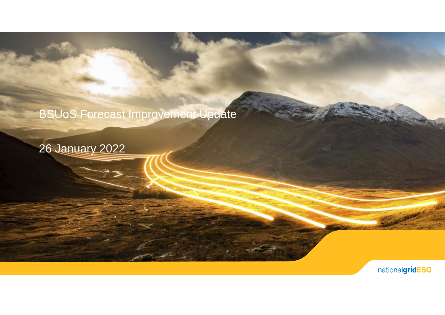#### BSUoS Forecast Improvement Update

26 January 2022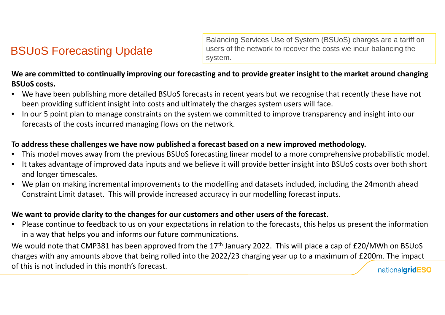#### BSUoS Forecasting Update

Balancing Services Use of System (BSUoS) charges are a tariff on users of the network to recover the costs we incur balancing the system.

#### **We are committed to continually improving our forecasting and to provide greater insight to the market around changing BSUoS costs.**

- We have been publishing more detailed BSUoS forecasts in recent years but we recognise that recently these have not been providing sufficient insight into costs and ultimately the charges system users will face.
- In our 5 point plan to manage constraints on the system we committed to improve transparency and insight into our forecasts of the costs incurred managing flows on the network.

#### **To address these challenges we have now published a forecast based on a new improved methodology.**

- This model moves away from the previous BSUoS forecasting linear model to a more comprehensive probabilistic model.
- It takes advantage of improved data inputs and we believe it will provide better insight into BSUoS costs over both short and longer timescales.
- We plan on making incremental improvements to the modelling and datasets included, including the 24month ahead Constraint Limit dataset. This will provide increased accuracy in our modelling forecast inputs.

#### **We want to provide clarity to the changes for our customers and other users of the forecast.**

• Please continue to feedback to us on your expectations in relation to the forecasts, this helps us present the information in a way that helps you and informs our future communications.

We would note that CMP381 has been approved from the 17<sup>th</sup> January 2022. This will place a cap of £20/MWh on BSUoS charges with any amounts above that being rolled into the 2022/23 charging year up to a maximum of £200m. The impact of this is not included in this month's forecast. nationalgridESO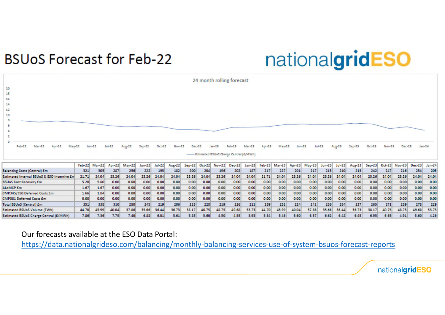### **BSUoS Forecast for Feb-22**

# nationalgridESO

|                                             |        |          |               |        |          |        |               |        |        |            | 24 month rolling forecast                          |          |        |               |        |        |          |               |          |        |        |               |        |        |
|---------------------------------------------|--------|----------|---------------|--------|----------|--------|---------------|--------|--------|------------|----------------------------------------------------|----------|--------|---------------|--------|--------|----------|---------------|----------|--------|--------|---------------|--------|--------|
| 20<br>18<br>16<br>14<br>12<br>10            |        |          |               |        |          |        |               |        |        |            |                                                    |          |        |               |        |        |          |               |          |        |        |               |        |        |
| $Feb-22$<br>$Mar-22$<br>Apr -22<br>May-22   |        | $Jun-22$ | <b>Jul-22</b> | Aug-22 | $Sep-22$ | Oct-22 | <b>Nov-22</b> | Dec-22 |        | $18n - 23$ | Feb-23<br>- Estimated BSUoS Charge Central (E/MWh) | $Mar-23$ | Apr-23 | May-23        | Jun-23 |        | $Jul-23$ | <b>Aug-23</b> | $Sep-23$ | Oct-23 | Nov-23 | Dec-23        | Jan-24 |        |
|                                             | Feb-22 | Mar-22   | Apr-22        | M y 22 | Jun-22   | Jul-22 | Aug. 22       | Sep-22 | Oct-22 |            | Nov-22 Dec-22                                      | Jan-23   |        | Feb-23 Mar-23 | Apr-23 | May-23 | Jun-23   | $JU$ $+23$    | Aug. 23  | Sep-23 | Oct-23 | Nov-23 Dec-23 |        | Jan 24 |
| <b>Balancing Costs (Central) Em</b>         | 321    | 305      | 287           | 256    | 222      | 195    | 182           | 200    | 204    | 196        | 202                                                | 187      | 217    | 227           | 201    | 217    | 213      | 210           | 213      | 242    | 247    | 216           | 254    | 205    |
| Estimated Internal BSUoS & ESO Incentive Em | 21.71  | 24.04    | 23.26         | 24.04  | 23.26    | 24.04  | 24.04         | 23.26  | 24.04  | 23.26      | 24.04                                              | 24.04    | 21.71  | 24.04         | 23.26  | 24.04  | 23.26    | 24.04         | 24.04    | 23.26  | 24.04  | 23.26         | 24.04  | 24.04  |
| <b>BSUoS Cost Recovery Em</b>               | 5.20   | 5.80     | 0.00          | 0.00   | 0.00     | 0.00   | 0.00          | 0.00   | 0.00   | 0.00       | 0.00                                               | 0.00     | 0.00   | 0.00          | 0.00   | 0.00   | 0.00     | 0.00          | 0.00     | 0.00   | 0.00   | 0.00          | 0.00   | 0.00   |
| ALoMCP Em                                   | 1.67   | 1.67     | 0.00          | 0.00   | 0.00     | 0.00   | 0.00          | 0.00   | 0.00   | 0.00       | 0.00                                               | 0.00     | 0.00   | 0.00          | 0.00   | 0.00   | 0.00     | 0.00          | 0.00     | 0.00   | 0.00   | 0.00          | 0.00   | 0.00   |
| CMP345/350 Deferred Costs Em                | 1.66   | 1.84     | 0.00          | 0.00   | 0.00     | 0.00   | 0.00          | 0.00   | 0.00   | 0.00       | 0.00                                               | 0.00     | 0.00   | 0.00          | 0.00   | 0.00   | 0.00     | 0.00          | 0.00     | 0.00   | 0.00   | 0.00          | 0.00   | 0.00   |
| <b>CMP381 Deferred Costs Em</b>             | 0.00   | 0.00     | 0.00          | 0.00   | 0.00     | 0.00   | 0.00          | 0.00   | 0.00   | 0.00       | 0.00                                               | 0.00     | 0.00   | 0.00          | 0.00   | 0.00   | 0.00     | 0.00          | 0.00     | 0.00   | 0.00   | 0.00          | 0.00   | 0.00   |
| Total BSUoS (Central) Em                    | 351    | 338      | 310           | 280    | 245      | 219    | 206           | 223    | 228    | 219        | 226                                                | 211      | 239    | 251           | 224    | 241    | 236      | 234           | 237      | 265    | 271    | 239           | 278    | 229    |
| <b>Estimated BSUoS Volume (TWh)</b>         | 44.70  | 45.99    | 40.04         | 37.86  | 35.66    | 36.44  | 36.73         | 38.17  | 40.75  | 48.75      | 49.68                                              | 53.73    | 44.70  | 45.99         | 40.04  | 37.86  | 35.66    | 36.44         | 36.73    | 38.17  | 40.75  | 48.75         | 49.68  | 53.73  |
| Estimated BSUoS Charge Central (£/MWh)      | 7.86   | 7.36     | 7.75          | 7.40   | 6.88     | 6.01   | 5.61          | 5.85   | 5.60   | 4.50       | 4.55                                               | 3.93     | 5.34   | 5.46          | 5.60   | 6.37   | 6.62     | 6.42          | 6.45     | 6.95   | 6.65   | 4.91          | 5.60   | 4.26   |

Our forecasts available at the ESO Data Portal:

https://data.nationalgrideso.com/balancing/monthly-balancing-services-use-of-system-bsuos-forecast-reports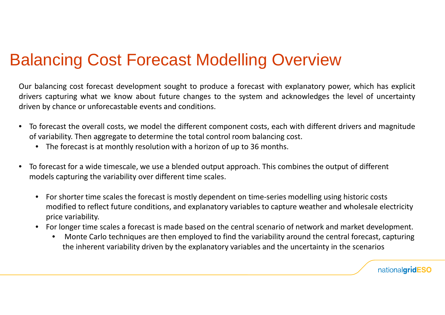### Balancing Cost Forecast Modelling Overview

Our balancing cost forecast development sought to produce a forecast with explanatory power, which has explicit drivers capturing what we know about future changes to the system and acknowledges the level of uncertainty driven by chance or unforecastable events and conditions.

- To forecast the overall costs, we model the different component costs, each with different drivers and magnitude of variability. Then aggregate to determine the total control room balancing cost.
	- The forecast is at monthly resolution with a horizon of up to 36 months.
- To forecast for a wide timescale, we use a blended output approach. This combines the output of different models capturing the variability over different time scales.
	- For shorter time scales the forecast is mostly dependent on time-series modelling using historic costs modified to reflect future conditions, and explanatory variables to capture weather and wholesale electricity price variability.
	- For longer time scales a forecast is made based on the central scenario of network and market development.
		- Monte Carlo techniques are then employed to find the variability around the central forecast, capturing the inherent variability driven by the explanatory variables and the uncertainty in the scenarios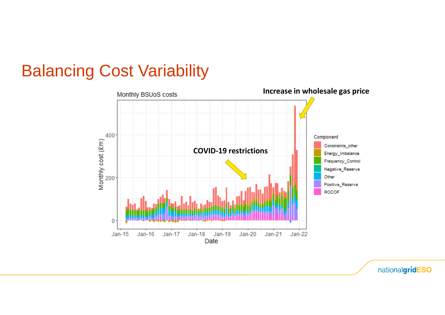# Balancing Cost Variability

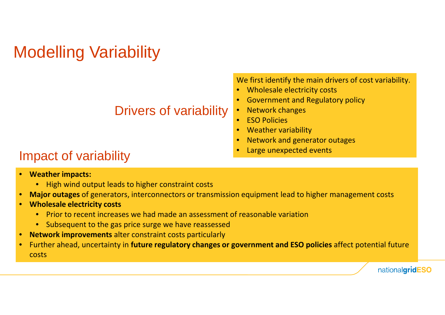# Modelling Variability

We first identify the main drivers of cost variability.

- Wholesale electricity costs
- Government and Regulatory policy
- Network changes
- ESO Policies
- Weather variability
- Network and generator outages
- 

### Impact of variability **Example 20** Finally and the Large unexpected events

- **Weather impacts:**
	- High wind output leads to higher constraint costs
- **Major outages** of generators, interconnectors or transmission equipment lead to higher management costs
- **Wholesale electricity costs**
	- Prior to recent increases we had made an assessment of reasonable variation

Drivers of variability

- Subsequent to the gas price surge we have reassessed
- **Network improvements** alter constraint costs particularly
- Further ahead, uncertainty in **future regulatory changes or government and ESO policies** affect potential future costs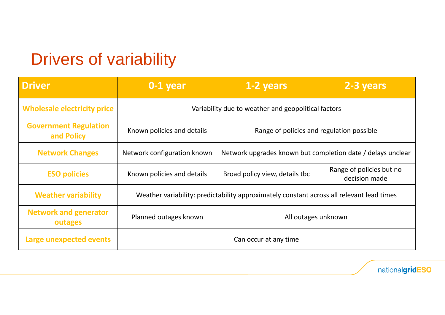# Drivers of variability

| <b>Driver</b>                              | $0-1$ year                                                                                | 1-2 years                                                   | 2-3 years                                 |  |  |  |  |  |
|--------------------------------------------|-------------------------------------------------------------------------------------------|-------------------------------------------------------------|-------------------------------------------|--|--|--|--|--|
| <b>Wholesale electricity price</b>         | Variability due to weather and geopolitical factors                                       |                                                             |                                           |  |  |  |  |  |
| <b>Government Regulation</b><br>and Policy | Known policies and details<br>Range of policies and regulation possible                   |                                                             |                                           |  |  |  |  |  |
| <b>Network Changes</b>                     | Network configuration known                                                               | Network upgrades known but completion date / delays unclear |                                           |  |  |  |  |  |
| <b>ESO policies</b>                        | Known policies and details                                                                | Broad policy view, details tbc                              | Range of policies but no<br>decision made |  |  |  |  |  |
| <b>Weather variability</b>                 | Weather variability: predictability approximately constant across all relevant lead times |                                                             |                                           |  |  |  |  |  |
| <b>Network and generator</b><br>outages    | Planned outages known                                                                     | All outages unknown                                         |                                           |  |  |  |  |  |
| Large unexpected events                    | Can occur at any time                                                                     |                                                             |                                           |  |  |  |  |  |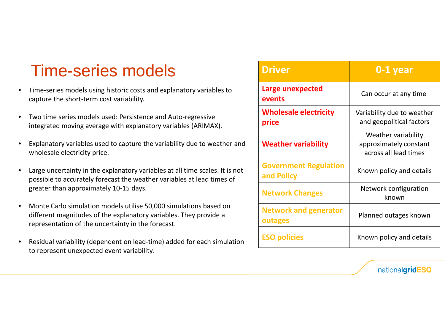# Time-series models

- Time-series models using historic costs and explanatory variables to capture the short-term cost variability.
- Two time series models used: Persistence and Auto-regressive integrated moving average with explanatory variables (ARIMAX).
- Explanatory variables used to capture the variability due to weather and wholesale electricity price.
- Large uncertainty in the explanatory variables at all time scales. It is not possible to accurately forecast the weather variables at lead times of greater than approximately 10-15 days.
- Monte Carlo simulation models utilise 50,000 simulations based on different magnitudes of the explanatory variables. They provide a representation of the uncertainty in the forecast.
- Residual variability (dependent on lead-time) added for each simulation to represent unexpected event variability.

| <b>Driver</b>                              | 0-1 year                                                               |
|--------------------------------------------|------------------------------------------------------------------------|
| Large unexpected<br>events                 | Can occur at any time                                                  |
| <b>Wholesale electricity</b><br>price      | Variability due to weather<br>and geopolitical factors                 |
| <b>Weather variability</b>                 | Weather variability<br>approximately constant<br>across all lead times |
| <b>Government Regulation</b><br>and Policy | Known policy and details                                               |
| <b>Network Changes</b>                     | Network configuration<br>known                                         |
| <b>Network and generator</b><br>outages    | Planned outages known                                                  |
| <b>ESO policies</b>                        | Known policy and details                                               |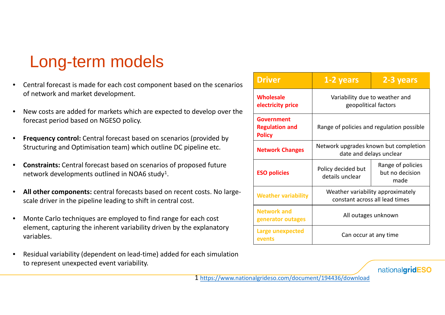# Long-term models

- Central forecast is made for each cost component based on the scenarios of network and market development.
- New costs are added for markets which are expected to develop over the forecast period based on NGESO policy.
- **Frequency control:** Central forecast based on scenarios (provided by Structuring and Optimisation team) which outline DC pipeline etc.
- **Constraints:** Central forecast based on scenarios of proposed future network developments outlined in NOA6 study<sup>1</sup>.
- **All other components:** central forecasts based on recent costs. No largescale driver in the pipeline leading to shift in central cost.
- Monte Carlo techniques are employed to find range for each cost element, capturing the inherent variability driven by the explanatory variables.
- Residual variability (dependent on lead-time) added for each simulation to represent unexpected event variability.

| <b>Driver</b>                                        | 1-2 years                                                           | 2-3 years                                    |  |  |  |  |  |
|------------------------------------------------------|---------------------------------------------------------------------|----------------------------------------------|--|--|--|--|--|
| <b>Wholesale</b><br>electricity price                | Variability due to weather and<br>geopolitical factors              |                                              |  |  |  |  |  |
| Government<br><b>Regulation and</b><br><b>Policy</b> | Range of policies and regulation possible                           |                                              |  |  |  |  |  |
| <b>Network Changes</b>                               | Network upgrades known but completion<br>date and delays unclear    |                                              |  |  |  |  |  |
| <b>ESO policies</b>                                  | Policy decided but<br>details unclear                               | Range of policies<br>but no decision<br>made |  |  |  |  |  |
| <b>Weather variability</b>                           | Weather variability approximately<br>constant across all lead times |                                              |  |  |  |  |  |
| <b>Network and</b><br>generator outages              | All outages unknown                                                 |                                              |  |  |  |  |  |
| Large unexpected<br>events                           | Can occur at any time                                               |                                              |  |  |  |  |  |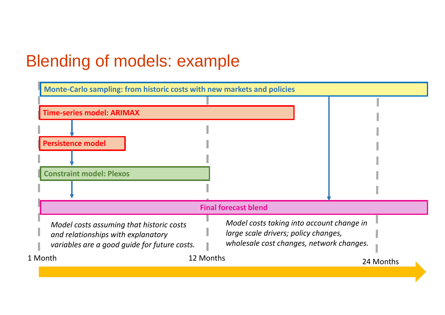# Blending of models: example

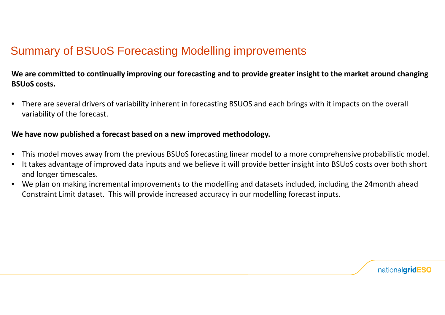#### Summary of BSUoS Forecasting Modelling improvements

#### **We are committed to continually improving our forecasting and to provide greater insight to the market around changing BSUoS costs.**

• There are several drivers of variability inherent in forecasting BSUOS and each brings with it impacts on the overall variability of the forecast.

#### **We have now published a forecast based on a new improved methodology.**

- This model moves away from the previous BSUoS forecasting linear model to a more comprehensive probabilistic model.
- It takes advantage of improved data inputs and we believe it will provide better insight into BSUoS costs over both short and longer timescales.
- We plan on making incremental improvements to the modelling and datasets included, including the 24month ahead Constraint Limit dataset. This will provide increased accuracy in our modelling forecast inputs.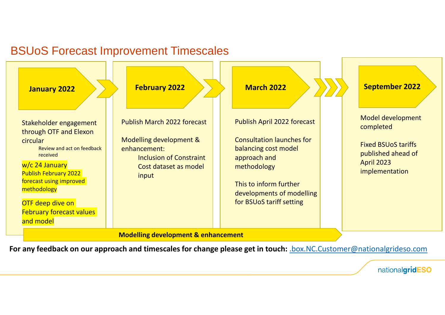#### BSUoS Forecast Improvement Timescales



**For any feedback on our approach and timescales for change please get in touch:** .box.NC.Customer@nationalgrideso.com